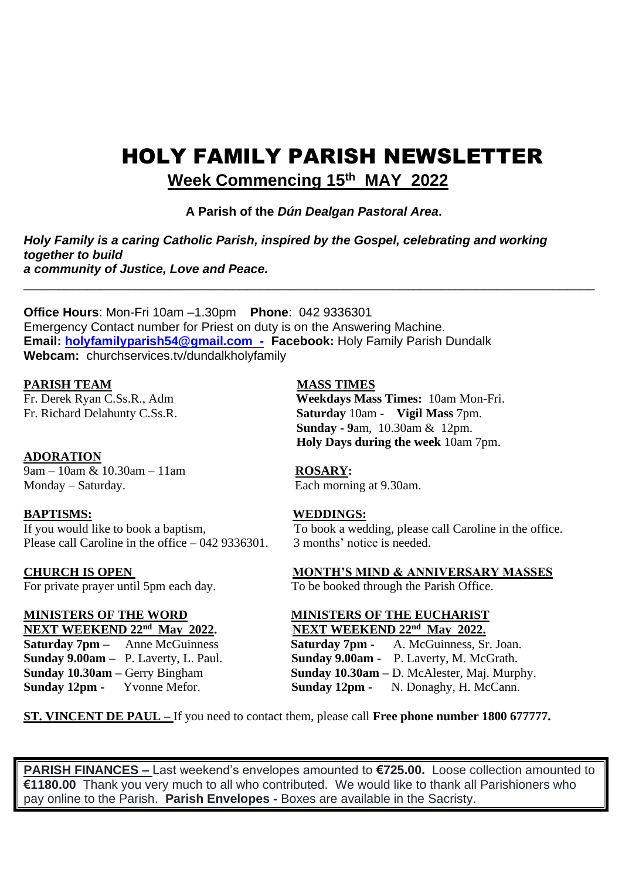# HOLY FAMILY PARISH NEWSLETTER

 **Week Commencing 15th MAY 2022**

 **A Parish of the** *Dún Dealgan Pastoral Area***.**

\_\_\_\_\_\_\_\_\_\_\_\_\_\_\_\_\_\_\_\_\_\_\_\_\_\_\_\_\_\_\_\_\_\_\_\_\_\_\_\_\_\_\_\_\_\_\_\_\_\_\_\_\_\_\_\_\_\_\_\_\_\_\_\_\_\_\_\_\_\_\_\_\_\_\_\_\_\_\_\_\_\_

*Holy Family is a caring Catholic Parish, inspired by the Gospel, celebrating and working together to build a community of Justice, Love and Peace.*

**Office Hours**: Mon-Fri 10am –1.30pm **Phone**: 042 9336301 Emergency Contact number for Priest on duty is on the Answering Machine. **Email: [holyfamilyparish54@gmail.com -](mailto:holyfamilyparish54@gmail.com%20%20-) Facebook:** Holy Family Parish Dundalk **Webcam:** churchservices.tv/dundalkholyfamily

**PARISH TEAM MASS TIMES**<br>Fr. Derek Ryan C.Ss.R., Adm Weekdays Mass

### **ADORATION**

9am – 10am & 10.30am – 11am **ROSARY:**  Monday – Saturday. Each morning at 9.30am.

**BAPTISMS:**<br>
If you would like to book a baptism, To book a wed Please call Caroline in the office  $-0429336301$ .

For private prayer until 5pm each day.

**NEXT WEEKEND 22nd May 2022. NEXT WEEKEND 22nd May 2022.**

Fr. Derek Ryan C.Ss.R., Adm<br>Fr. Derek Ryan C.Ss.R., Adm<br>Fr. Richard Delahunty C.Ss.R.<br>**Saturday** 10am - **Vigil Mass** 7pm. **Saturday** 10am **- Vigil Mass 7pm. Sunday - 9**am, 10.30am & 12pm. **Holy Days during the week** 10am 7pm.

To book a wedding, please call Caroline in the office.<br>3 months' notice is needed.

**CHURCH IS OPEN**<br>For private prayer until 5pm each day.<br>To be booked through the Parish Office.

# **MINISTERS OF THE WORD<br>
NEXT WEEKEND 22<sup>nd</sup> May 2022.** MEXT WEEKEND 22<sup>nd</sup> May 2022.

**Saturday 7pm –** Anne McGuinness **Saturday 7pm -** A. McGuinness, Sr. Joan.<br> **Sunday 9.00am –** P. Laverty, L. Paul. **Sunday 9.00am -** P. Laverty, M. McGrath. **Sunday 9.00am –** P. Laverty, L. Paul. **Sunday 9.00am -** P. Laverty, M. McGrath. **Sunday 10.30am** – Gerry Bingham **Sunday 10.30am** – D. McAlester, Maj. Murphy.<br> **Sunday 12pm -** Yvonne Mefor. **Sunday 12pm -** N. Donaghy, H. McCann. **Sunday 12pm -** N. Donaghy, H. McCann.

**ST. VINCENT DE PAUL –** If you need to contact them, please call **Free phone number 1800 677777.**

**PARISH FINANCES –** Last weekend's envelopes amounted to **€725.00.** Loose collection amounted to **€1180.00** Thank you very much to all who contributed. We would like to thank all Parishioners who pay online to the Parish. **Parish Envelopes -** Boxes are available in the Sacristy.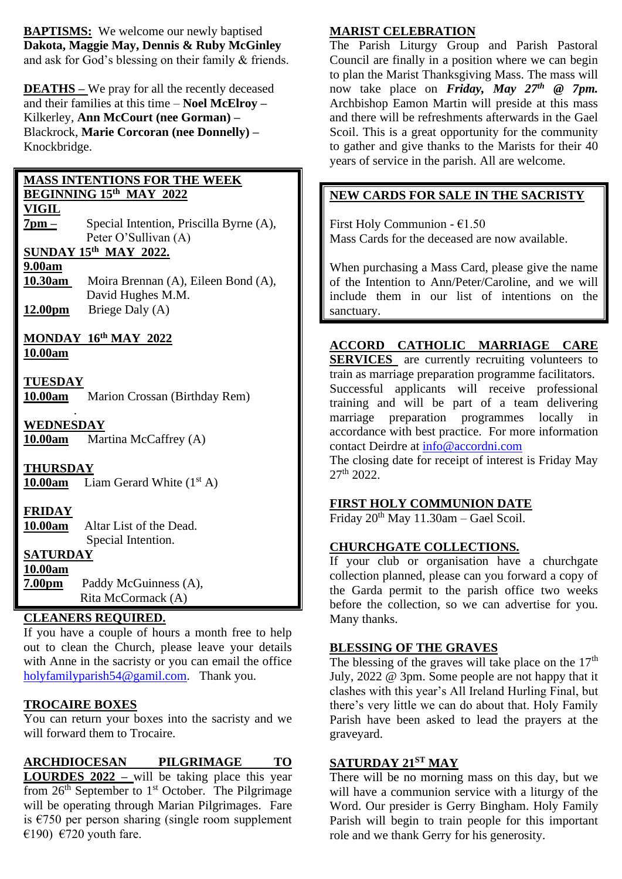**BAPTISMS:** We welcome our newly baptised **Dakota, Maggie May, Dennis & Ruby McGinley**  and ask for God's blessing on their family & friends.

**DEATHS –** We pray for all the recently deceased and their families at this time – **Noel McElroy –** Kilkerley, **Ann McCourt (nee Gorman) –** Blackrock, **Marie Corcoran (nee Donnelly) –** Knockbridge.

# **MASS INTENTIONS FOR THE WEEK BEGINNING 15th MAY 2022**

**VIGIL** 

**7pm –** Special Intention, Priscilla Byrne (A), Peter O'Sullivan (A)

### **SUNDAY 15th MAY 2022.**

**9.00am**

**10.30am** Moira Brennan (A), Eileen Bond (A), David Hughes M.M. **12.00pm** Briege Daly (A)

### **MONDAY 16th MAY 2022 10.00am**

**TUESDAY 10.00am** Marion Crossan (Birthday Rem) .

**WEDNESDAY 10.00am** Martina McCaffrey (A)

**THURSDAY** 10.00am Liam Gerard White (1<sup>st</sup> A)

## **FRIDAY**

**10.00am** Altar List of the Dead. Special Intention.

**SATURDAY**

**10.00am**

**7.00pm** Paddy McGuinness (A), Rita McCormack (A)

### **CLEANERS REQUIRED.**

If you have a couple of hours a month free to help out to clean the Church, please leave your details with Anne in the sacristy or you can email the office [holyfamilyparish54@gamil.com.](mailto:holyfamilyparish54@gamil.com) Thank you.

### **TROCAIRE BOXES**

You can return your boxes into the sacristy and we will forward them to Trocaire.

**ARCHDIOCESAN PILGRIMAGE TO LOURDES 2022 –** will be taking place this year from  $26<sup>th</sup>$  September to  $1<sup>st</sup>$  October. The Pilgrimage will be operating through Marian Pilgrimages. Fare is  $\epsilon$ 750 per person sharing (single room supplement €190) €720 youth fare.

# **MARIST CELEBRATION**

The Parish Liturgy Group and Parish Pastoral Council are finally in a position where we can begin to plan the Marist Thanksgiving Mass. The mass will now take place on *Friday, May 27th @ 7pm.*  Archbishop Eamon Martin will preside at this mass and there will be refreshments afterwards in the Gael Scoil. This is a great opportunity for the community to gather and give thanks to the Marists for their 40 years of service in the parish. All are welcome.

# **NEW CARDS FOR SALE IN THE SACRISTY**

First Holy Communion -  $€1.50$ Mass Cards for the deceased are now available.

When purchasing a Mass Card, please give the name of the Intention to Ann/Peter/Caroline, and we will include them in our list of intentions on the sanctuary.

# **ACCORD CATHOLIC MARRIAGE CARE**

**SERVICES** are currently recruiting volunteers to train as marriage preparation programme facilitators. Successful applicants will receive professional training and will be part of a team delivering marriage preparation programmes locally in accordance with best practice. For more information contact Deirdre at [info@accordni.com](mailto:info@accordni.com)

The closing date for receipt of interest is Friday May 27th 2022.

## **FIRST HOLY COMMUNION DATE**

Friday 20th May 11.30am – Gael Scoil.

# **CHURCHGATE COLLECTIONS.**

If your club or organisation have a churchgate collection planned, please can you forward a copy of the Garda permit to the parish office two weeks before the collection, so we can advertise for you. Many thanks.

## **BLESSING OF THE GRAVES**

The blessing of the graves will take place on the  $17<sup>th</sup>$ July, 2022 @ 3pm. Some people are not happy that it clashes with this year's All Ireland Hurling Final, but there's very little we can do about that. Holy Family Parish have been asked to lead the prayers at the graveyard.

## **SATURDAY 21ST MAY**

There will be no morning mass on this day, but we will have a communion service with a liturgy of the Word. Our presider is Gerry Bingham. Holy Family Parish will begin to train people for this important role and we thank Gerry for his generosity.